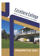

# **PROSPECTUS 2022**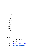## **Contents**

Contact us Vision History Location and Facilities Board of Trustees Special Character Learning School Day Term Dates Fees Enrolment Buses Uniform College Staff

## **Contact us**

| phone | 09 4352458                        |
|-------|-----------------------------------|
| email | office@excellerecollege.school.nz |
| web   | www.excellerecollege.school.nz    |

39 Great North Road, Springs Flat, Kamo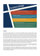

## **History**

Kamo Christian College began life as a private school in April 1980 to support the Christian beliefs of parents who attended Alive Church. Thirty five 5 to 14 year old children of the church families formed the first student body of the school. The church bought a seven acre motor camp and used the camp lounge and one unit as the first two classrooms. Offices for the students to work in had to be built, and monitors were needed to help in the running of the programme. The parents and members of the church pitched in. When the church building was built it became the main classroom. By 1987 there were about 80 students from new entrants to form five.

Kamo Christian College became a centre for the ACE movement in Northland. People came there for ACE training and experience. Teachers gathered annually for training and PD conferences. Students also gathered annually for sporting and cultural competitions called 'student conventions.' The tearooms on the site were sold and an additional 11 acres at the back of the property were bought, that became playing fields.

By 1991 the roll had increased to 140 and classes went all the way to form 7. In 1991 the Kamo Christian Teachers' College was established and thus trained teachers on site. Many Kamo Teachers' College graduates completed their official qualification with MASTERS Institute in the mid-90s.

In order to reduce costs for families the College integrated as a Special Character Area School in October 1996. Along with integration came the much needed finance to build purpose built school buildings. In 1999 a new two story building which included a staff room, conference centre, classrooms and a gymnasium which doubled as an assembly hall was completed.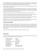In the late 1990s Power Com was established and hosted by Kamo Christian College. This was a convention of Christian school students at which various performing arts and sports competitions were held. Schools from all over the North Island participated. Typically there were over 200 students in attendance.

In 2003, Marsden Christian School became a satellite of Kamo Christian College. This enabled the Marsden families to benefit from integration.

Five classrooms were added to the gymnasium building in 2004. Contractors, church members, school staff, and sometimes students, teamed together, and completed the addition early 2005. In addition the school bought the Marsden Oil Refinery Social Club rooms to bring onto the property. In time this has been modified to become the school office, staff room and teaching spaces.

In 2006 the Marsden Christian School campus closed and the students moved to Kamo Christian College.

In 2008, it was decided to change the name to Excellere College. This required a new Integration agreement under the name Excellere College. For about a decade the roll has typically been just under 200.

From 2015 NZ Christian Proprietors Trust (NZCPT) are the new proprietors, with Whangarei Christian Education Trust (WCET) as the Land Trust. The roll cap was increased to 230 for 2018, and to 300 in 2019.

Integration has meant that the College has continued to grow, while offering greater options in the Senior College. NCEA courses are now embedded, without compromising the Christian world-view.

## **Location and Facilities**

Excellere College is situated at Springs Flat, just north of Kamo, in Whangarei. Set in 10ha of natural grounds and playing fields. The college has a large gymnasium, surrounded by learning spaces. The Whare provides more learning spaces, the office and staff facilities. The college also has two adventure playgrounds for both junior and senior students. New learning spaces were added in 2019, for Music, Science and Art, and Maths and English in 2020.

Further video-conferencing facilities, enables online learning as an option for students.

## **Governance**

The school is governed by a Board of Trustees comprising of members of the NZCPT and the WCET, Principal, Parent Trustees, Staff Trustee and a Student Trustee, as follows:

| Principal                                       |
|-------------------------------------------------|
| Chairperson                                     |
| <b>Parent Trustee</b>                           |
| Mrs Jansie Janse Van Rensburg<br>Parent Trustee |
| <b>Staff Trustee</b>                            |
| NZCPT/WCET                                      |
| <b>WCET</b>                                     |
| <b>Student Representative</b>                   |
| <b>Student Representative</b>                   |
|                                                 |

We are a member of the New Zealand Association of Christian Schools.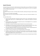## **Special Character**

The Special Character of the School is determined by the Christian beliefs, values and lifestyle of the Christian Church as determined from time to time by the Whangarei Christian Education Trust, and is to be upheld in word and fulfilled in practice by staff.

Because God is

The Creator of heaven and earth, of all things visible and invisible, sustaining and ruling over creation including man …

And is the source of all wisdom and knowledge.

God the Father, Jesus his Son and the Holy Spirit are relevant to every area of study and endeavour in the school.

The School reflects this by:

- a) Experiencing Godly relationships, showing the character of Christ in love, using the Bible as the basis for exploring God's world, and as a standard against which to compare and interpret all curriculum material.
- b) Teaching Christian values and behaviour through the process of acknowledgement of sin, repentance and acceptance of Jesus' gift of grace.
- c) Using prayer as a key tool in learning, inviting the Holy Spirit into every learning situation.
- d) Encouraging each child to give their best because God creates and equips each person for their unique role in His service, and acknowledging achievement in accordance with the child's effort.
- e) Inextricably integrating knowledge of the world and Christian beliefs, through an integrated approach of an appropriate Christian curriculum and developed programme plans.
- f) Acting as a continuum and extension of the teaching provided in Christian homes.
- g) Providing an environment where children, parents and teachers can experience godly relationships, show the character of Christ in love, discipline, respect, honour and trust, and witness an exemplary demonstration of Biblical truths in the lives of others.
- h) Employing staff who are role models for students, who promote values and standards based on Biblical principles.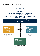These are expressed through our core values.

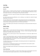## **Learning**

## **Junior College**

#### **Years 0-6**

Students in Years 0 - 6 enjoy the structure and security of a single homeroom situation with their individual teachers taking them for the majority of their subjects. These include English/Drama, Mathematics, Science, Social Studies, Te Reo Maori, Art, Technology, Music, Physical Education and Health.

A major focus at this level is literacy and numeracy. These provide the foundation for future success in all learning areas.

Any student experiencing learning difficulties or who is achieving at a very high level is catered for through differentiation in the classroom.

The Junior College teachers work closely together in their planning and provision of an integrated learning environment and curriculum. Christian aspects are embedded within programmes and a morning devotions session provides a specific opportunity to focus on our Christian special character.

Parents are encouraged to partner with teachers in the learning process, and keep communication links open at all times.

## **Middle College**

#### **Years 7, 8 and 9**

Students in Years 7, 8 and 9 enjoy the structure and security of a single homeroom situation with their individual teachers taking them for their core subjects. The Year 7, 8 and 9 core subjects include English, Mathematics, Social Studies, Health and Christian Living.

Specialist teachers may take the group for Science, Physical Education, Art, Te Reo, Music, Digital and Food Technology.

In Years 7, 8 and 9 special attention is given to any student experiencing learning difficulties through Specialist Teacher and Teacher Aide assistance and support. Students who are achieving at a very high level are catered for through differentiation in the classroom. There are also opportunities to be involved in Problem-solving, ICAS exams, Mathex, and Science Fair.

The Middle College teachers work closely together in their planning and provision of an integrated learning environment and curriculum.

Christian aspects are embedded within programmes and a morning devotions session provides a specific opportunity to focus on our Christian special character.

Parents are encouraged to partner with teachers in the learning process, and keep communication links open at all times.

#### **Video Conferencing**

Video conferencing may be available as an option for those wishing to study a second language. Entry into this form of learning is done through consultation with our e-Dean and the Middle College leader.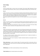### **Senior College**

#### **Year 10**

All Year 10 students follow a common course of core subjects. These include: English, Mathematics, Science, Social Studies, Physical Education, Health, Art, Music, Food and Digital Technology, Te Reo, and Christian Living.

#### **Year 11**

Studies at this level are made up of internally and externally assessed Achievement Standards and or Unit Standards which contribute to the National Certificate of Educational Achievement (NCEA) Level One. Students study five subjects with English and Mathematics being the compulsory ones. Standards are also available in ESOL. For the full range of subjects available see the curriculum option booklet.

International students will be expected to do some of the ESOL standards when they reach the appropriate level.

#### **Year 12**

Studies at this level are made up of internally and externally assessed Achievement Standards and or Unit Standards which contribute to the National Certificate of Educational Achievement (NCEA) Level Two. ESOL standards are available.

Depending on their abilities and achievements to date, Year 12 students, on the advice of the Senior College Team Leader, may take a combination of the subjects offered at the Year 11 and 12 levels.

#### **Year 13**

Studies at this level lead to assessment against Levels 3 and 4 Achievement Standards and/or Unit Standards in a maximum of five option subjects for each student. Extension opportunities are available in the form of New Zealand Education Scholarship Trust (NZEST) examinations. Depending on their achievements and abilities to date, Year 13 students may, on the advice of the Senior College Team Leader, take a combination of the subjects offered at the Year 11, 12 and 13 levels.

The college and tertiary education institutions highly recommend that Year 13 students take English as a desirable basis for future studies and employment.

Depending on the student's level of competence in English, International students are encouraged to sit some New Zealand standards.

**Video conferencing** is an option at Excellere College. This provides opportunities to study options which are unavailable face-to-face. Entry into this form of learning is done through consultation with our e-Dean and the Senior College leader.

**STAR/Gateway** courses follow vocational pathways to enhance student learning.

**Trades Academy** places for selected students are also available.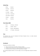## **School Day**

| 8:50am          | Devotions    |
|-----------------|--------------|
| $9:10 - 10$ am  | Period one   |
| 10-11am         | Period two   |
| $11 - 11:20$ am | Interval     |
| 11:20-12:20     | Period three |
| 12:20-1:20pm    | Period four  |
| $1:20-2pm$      | Lunchtime    |
| $2-3pm$         | Period five  |

## **Term Dates 2022**

| Term 1 | 1st February - 14th April     |
|--------|-------------------------------|
| Term 2 | 2nd May $-8th$ July           |
| Term 3 | 25th July - 30th September    |
| Term 4 | $17th$ October – 9th December |

## **Fees**

The attendance dues, set by the Proprietors (NZ Christian Proprietors Trust), is to enable continued development of school facilities.

## **Enrolment**

The process for enrolment is as follows:

- Collect an enrolment pack at the office or through our website.
- Complete and return the pack to the school, including all required documentation.
- An interview with the Principal and a WCET Representative is arranged.

We encourage prospective families to call and arrange a visit to the College before starting the enrolment process.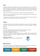## **Buses**

The Excellere College school bus departs from the Onerahi airport gate at approx. 7.53am. It travels to the Manse Street Bus Terminus via Bank Street. At this point students transfer from buses from other areas such as Maunu, South Whangarei and Whareora. It departs Manse Street at 8.25am and travels to Tikipunga High School via Mill Road. It departs THS at 8.40am to Excellere College via Corks/Station Roads. This route is reversed in the afternoons.

Students who live north, northeast and west of Kamo are eligible to catch the Kamo High School buses.

Students who live east along the Tutukaka Coast can catch the Tikipunga High School buses and transfer to the Excellere bus at Tikipunga High School.

All school buses are free of charge to Excellere students, however a transport form does need to be completed and handed into the school office before children can start catching the bus.

## **Uniform**

A condition of enrolment at Excellere College is a willingness to comply with our uniform regulations. All items of school uniform may be worn during summer or winter as appropriate to weather conditions.

#### **Please note:**

No T-shirts or undergarments must show around the neck or below shirts or blouses.

Shoes must be black and polishable, with no trim of any other colour.

Skirts must be knee length when standing.

In Terms 1 and 4 students in the Junior College must wear a regulation uniform hat when outside. Students not wearing a hat must stay in a shaded spot. Students in Years 7-13 are encouraged to wear a regulation school hat.

Our uniform is supplied by **Uniform Hub** Phone 09 435 2576, - 577 Kamo Road, Kamo



## **Whānau groups**

The College has a "Whānau" system which divides the students into four groups for competitions and sports events. We have named the "Whānau" after the local mountains.

| <b>PARIHAKA</b> | <b>HIKURANGI</b> | <b>HURUPAKI</b> | <b>PARAKIORE</b> |
|-----------------|------------------|-----------------|------------------|
| kahurangi       | kowhai           | kakariki        | whero            |